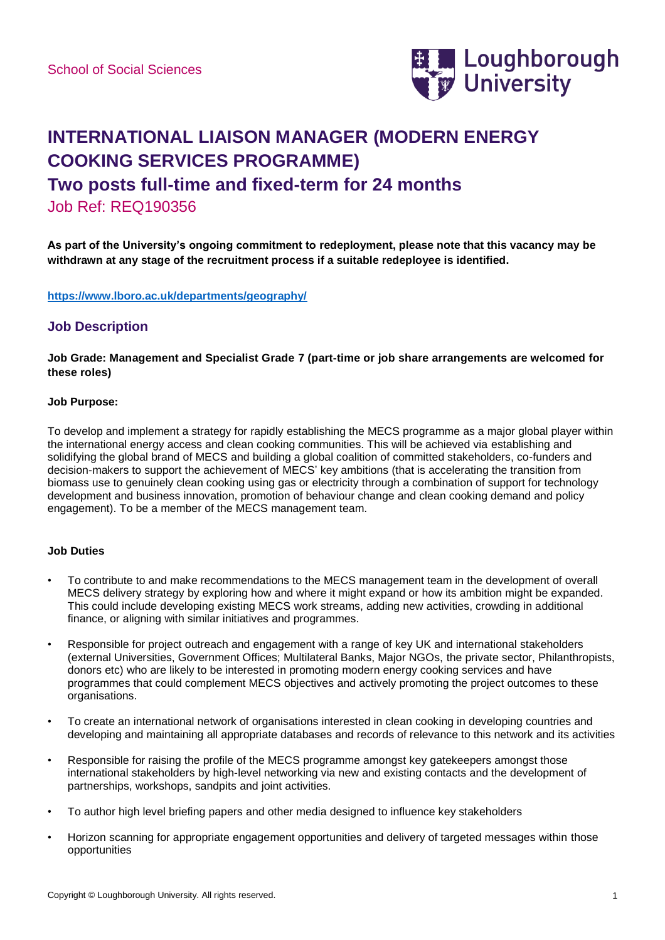

# **INTERNATIONAL LIAISON MANAGER (MODERN ENERGY COOKING SERVICES PROGRAMME)**

# **Two posts full-time and fixed-term for 24 months**

Job Ref: REQ190356

**As part of the University's ongoing commitment to redeployment, please note that this vacancy may be withdrawn at any stage of the recruitment process if a suitable redeployee is identified.**

**<https://www.lboro.ac.uk/departments/geography/>**

### **Job Description**

**Job Grade: Management and Specialist Grade 7 (part-time or job share arrangements are welcomed for these roles)**

#### **Job Purpose:**

To develop and implement a strategy for rapidly establishing the MECS programme as a major global player within the international energy access and clean cooking communities. This will be achieved via establishing and solidifying the global brand of MECS and building a global coalition of committed stakeholders, co-funders and decision-makers to support the achievement of MECS' key ambitions (that is accelerating the transition from biomass use to genuinely clean cooking using gas or electricity through a combination of support for technology development and business innovation, promotion of behaviour change and clean cooking demand and policy engagement). To be a member of the MECS management team.

#### **Job Duties**

- To contribute to and make recommendations to the MECS management team in the development of overall MECS delivery strategy by exploring how and where it might expand or how its ambition might be expanded. This could include developing existing MECS work streams, adding new activities, crowding in additional finance, or aligning with similar initiatives and programmes.
- Responsible for project outreach and engagement with a range of key UK and international stakeholders (external Universities, Government Offices; Multilateral Banks, Major NGOs, the private sector, Philanthropists, donors etc) who are likely to be interested in promoting modern energy cooking services and have programmes that could complement MECS objectives and actively promoting the project outcomes to these organisations.
- To create an international network of organisations interested in clean cooking in developing countries and developing and maintaining all appropriate databases and records of relevance to this network and its activities
- Responsible for raising the profile of the MECS programme amongst key gatekeepers amongst those international stakeholders by high-level networking via new and existing contacts and the development of partnerships, workshops, sandpits and joint activities.
- To author high level briefing papers and other media designed to influence key stakeholders
- Horizon scanning for appropriate engagement opportunities and delivery of targeted messages within those opportunities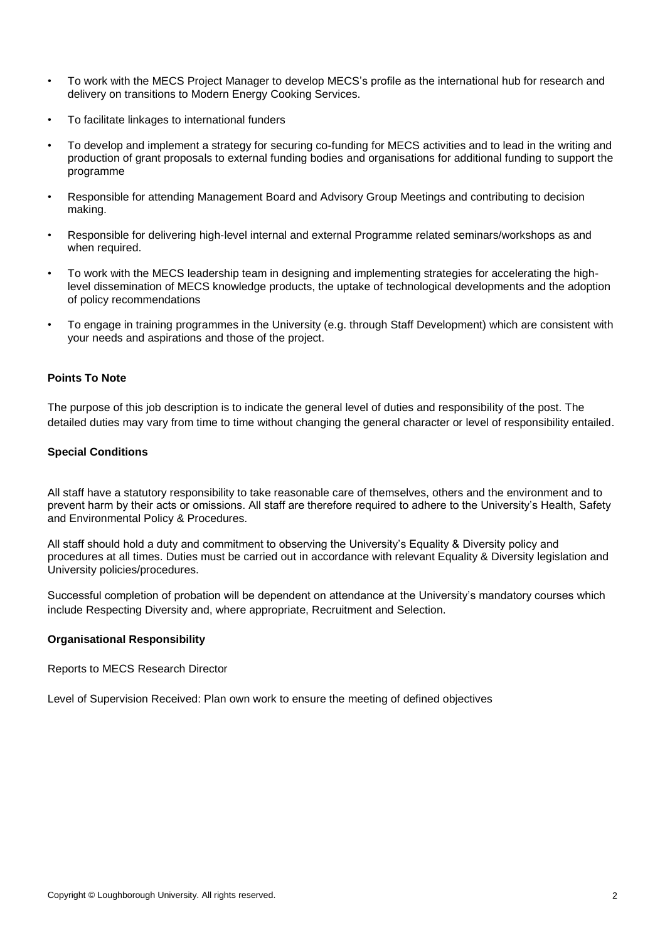- To work with the MECS Project Manager to develop MECS's profile as the international hub for research and delivery on transitions to Modern Energy Cooking Services.
- To facilitate linkages to international funders
- To develop and implement a strategy for securing co-funding for MECS activities and to lead in the writing and production of grant proposals to external funding bodies and organisations for additional funding to support the programme
- Responsible for attending Management Board and Advisory Group Meetings and contributing to decision making.
- Responsible for delivering high-level internal and external Programme related seminars/workshops as and when required.
- To work with the MECS leadership team in designing and implementing strategies for accelerating the highlevel dissemination of MECS knowledge products, the uptake of technological developments and the adoption of policy recommendations
- To engage in training programmes in the University (e.g. through Staff Development) which are consistent with your needs and aspirations and those of the project.

#### **Points To Note**

The purpose of this job description is to indicate the general level of duties and responsibility of the post. The detailed duties may vary from time to time without changing the general character or level of responsibility entailed.

#### **Special Conditions**

All staff have a statutory responsibility to take reasonable care of themselves, others and the environment and to prevent harm by their acts or omissions. All staff are therefore required to adhere to the University's Health, Safety and Environmental Policy & Procedures.

All staff should hold a duty and commitment to observing the University's Equality & Diversity policy and procedures at all times. Duties must be carried out in accordance with relevant Equality & Diversity legislation and University policies/procedures.

Successful completion of probation will be dependent on attendance at the University's mandatory courses which include Respecting Diversity and, where appropriate, Recruitment and Selection.

#### **Organisational Responsibility**

Reports to MECS Research Director

Level of Supervision Received: Plan own work to ensure the meeting of defined objectives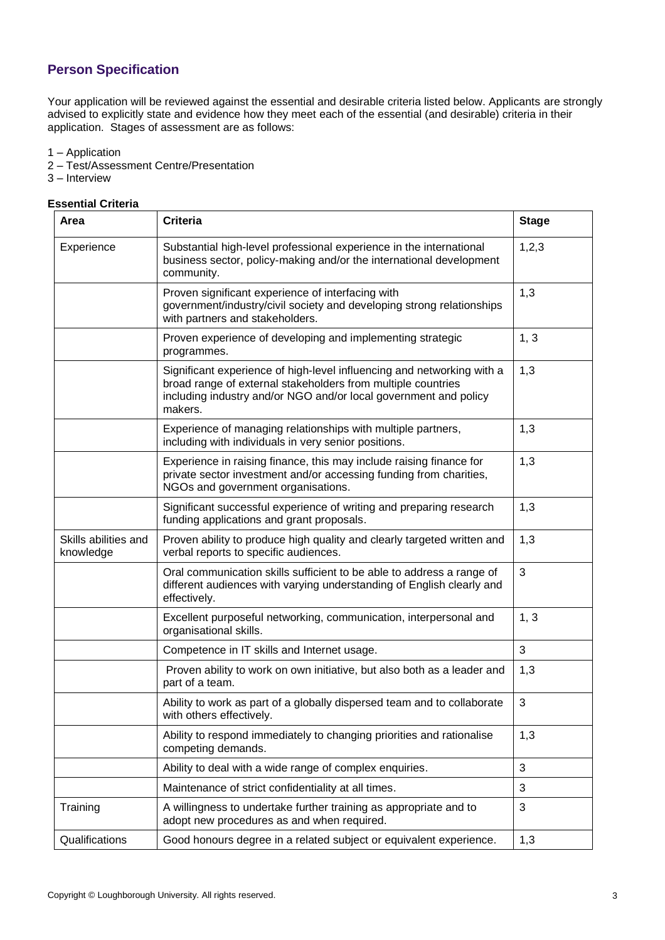# **Person Specification**

Your application will be reviewed against the essential and desirable criteria listed below. Applicants are strongly advised to explicitly state and evidence how they meet each of the essential (and desirable) criteria in their application. Stages of assessment are as follows:

1 – Application

- 2 Test/Assessment Centre/Presentation
- 3 Interview

#### **Essential Criteria**

| Area                              | <b>Criteria</b>                                                                                                                                                                                                       | <b>Stage</b> |
|-----------------------------------|-----------------------------------------------------------------------------------------------------------------------------------------------------------------------------------------------------------------------|--------------|
| Experience                        | Substantial high-level professional experience in the international<br>business sector, policy-making and/or the international development<br>community.                                                              | 1, 2, 3      |
|                                   | Proven significant experience of interfacing with<br>government/industry/civil society and developing strong relationships<br>with partners and stakeholders.                                                         | 1,3          |
|                                   | Proven experience of developing and implementing strategic<br>programmes.                                                                                                                                             | 1, 3         |
|                                   | Significant experience of high-level influencing and networking with a<br>broad range of external stakeholders from multiple countries<br>including industry and/or NGO and/or local government and policy<br>makers. | 1,3          |
|                                   | Experience of managing relationships with multiple partners,<br>including with individuals in very senior positions.                                                                                                  | 1,3          |
|                                   | Experience in raising finance, this may include raising finance for<br>private sector investment and/or accessing funding from charities,<br>NGOs and government organisations.                                       | 1,3          |
|                                   | Significant successful experience of writing and preparing research<br>funding applications and grant proposals.                                                                                                      | 1,3          |
| Skills abilities and<br>knowledge | Proven ability to produce high quality and clearly targeted written and<br>verbal reports to specific audiences.                                                                                                      | 1,3          |
|                                   | Oral communication skills sufficient to be able to address a range of<br>different audiences with varying understanding of English clearly and<br>effectively.                                                        | 3            |
|                                   | Excellent purposeful networking, communication, interpersonal and<br>organisational skills.                                                                                                                           | 1, 3         |
|                                   | Competence in IT skills and Internet usage.                                                                                                                                                                           | 3            |
|                                   | Proven ability to work on own initiative, but also both as a leader and<br>part of a team.                                                                                                                            | 1,3          |
|                                   | Ability to work as part of a globally dispersed team and to collaborate<br>with others effectively.                                                                                                                   | 3            |
|                                   | Ability to respond immediately to changing priorities and rationalise<br>competing demands.                                                                                                                           | 1,3          |
|                                   | Ability to deal with a wide range of complex enquiries.                                                                                                                                                               | 3            |
|                                   | Maintenance of strict confidentiality at all times.                                                                                                                                                                   | 3            |
| Training                          | A willingness to undertake further training as appropriate and to<br>adopt new procedures as and when required.                                                                                                       | 3            |
| Qualifications                    | Good honours degree in a related subject or equivalent experience.                                                                                                                                                    | 1,3          |